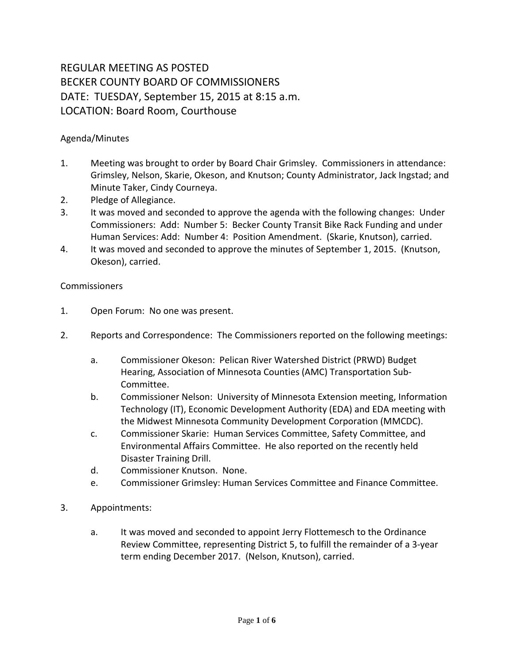## REGULAR MEETING AS POSTED BECKER COUNTY BOARD OF COMMISSIONERS DATE: TUESDAY, September 15, 2015 at 8:15 a.m. LOCATION: Board Room, Courthouse

## Agenda/Minutes

- 1. Meeting was brought to order by Board Chair Grimsley. Commissioners in attendance: Grimsley, Nelson, Skarie, Okeson, and Knutson; County Administrator, Jack Ingstad; and Minute Taker, Cindy Courneya.
- 2. Pledge of Allegiance.
- 3. It was moved and seconded to approve the agenda with the following changes: Under Commissioners: Add: Number 5: Becker County Transit Bike Rack Funding and under Human Services: Add: Number 4: Position Amendment. (Skarie, Knutson), carried.
- 4. It was moved and seconded to approve the minutes of September 1, 2015. (Knutson, Okeson), carried.

## Commissioners

- 1. Open Forum: No one was present.
- 2. Reports and Correspondence: The Commissioners reported on the following meetings:
	- a. Commissioner Okeson: Pelican River Watershed District (PRWD) Budget Hearing, Association of Minnesota Counties (AMC) Transportation Sub-Committee.
	- b. Commissioner Nelson: University of Minnesota Extension meeting, Information Technology (IT), Economic Development Authority (EDA) and EDA meeting with the Midwest Minnesota Community Development Corporation (MMCDC).
	- c. Commissioner Skarie: Human Services Committee, Safety Committee, and Environmental Affairs Committee. He also reported on the recently held Disaster Training Drill.
	- d. Commissioner Knutson. None.
	- e. Commissioner Grimsley: Human Services Committee and Finance Committee.
- 3. Appointments:
	- a. It was moved and seconded to appoint Jerry Flottemesch to the Ordinance Review Committee, representing District 5, to fulfill the remainder of a 3-year term ending December 2017. (Nelson, Knutson), carried.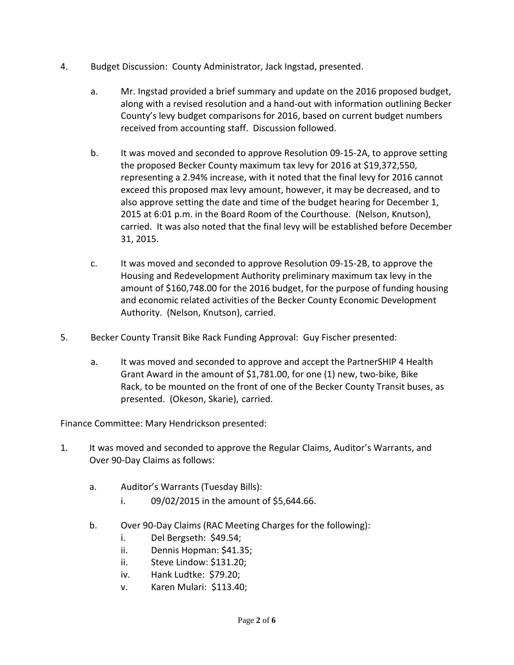- 4. Budget Discussion: County Administrator, Jack Ingstad, presented.
	- a. Mr. Ingstad provided a brief summary and update on the 2016 proposed budget, along with a revised resolution and a hand-out with information outlining Becker County's levy budget comparisons for 2016, based on current budget numbers received from accounting staff. Discussion followed.
	- b. It was moved and seconded to approve Resolution 09-15-2A, to approve setting the proposed Becker County maximum tax levy for 2016 at \$19,372,550, representing a 2.94% increase, with it noted that the final levy for 2016 cannot exceed this proposed max levy amount, however, it may be decreased, and to also approve setting the date and time of the budget hearing for December 1, 2015 at 6:01 p.m. in the Board Room of the Courthouse. (Nelson, Knutson), carried. It was also noted that the final levy will be established before December 31, 2015.
	- c. It was moved and seconded to approve Resolution 09-15-2B, to approve the Housing and Redevelopment Authority preliminary maximum tax levy in the amount of \$160,748.00 for the 2016 budget, for the purpose of funding housing and economic related activities of the Becker County Economic Development Authority. (Nelson, Knutson), carried.
- 5. Becker County Transit Bike Rack Funding Approval: Guy Fischer presented:
	- a. It was moved and seconded to approve and accept the PartnerSHIP 4 Health Grant Award in the amount of \$1,781.00, for one (1) new, two-bike, Bike Rack, to be mounted on the front of one of the Becker County Transit buses, as presented. (Okeson, Skarie), carried.

Finance Committee: Mary Hendrickson presented:

- 1. It was moved and seconded to approve the Regular Claims, Auditor's Warrants, and Over 90-Day Claims as follows:
	- a. Auditor's Warrants (Tuesday Bills):
		- i.  $09/02/2015$  in the amount of \$5,644.66.
	- b. Over 90-Day Claims (RAC Meeting Charges for the following):
		- i. Del Bergseth: \$49.54;
		- ii. Dennis Hopman: \$41.35;
		- ii. Steve Lindow: \$131.20;
		- iv. Hank Ludtke: \$79.20;
		- v. Karen Mulari: \$113.40;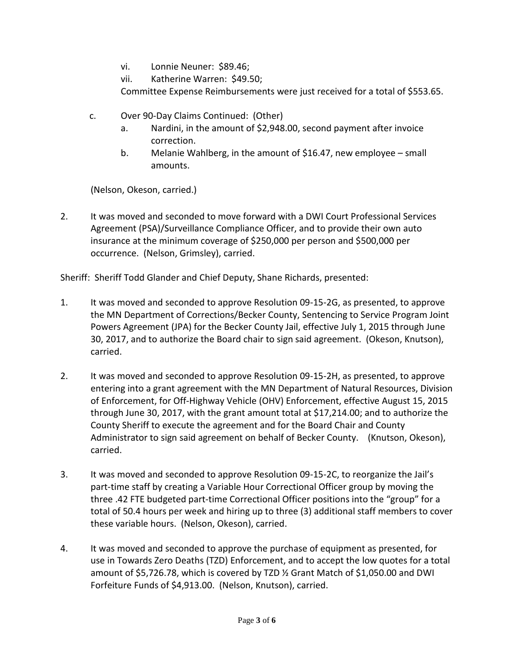- vi. Lonnie Neuner: \$89.46;
- vii. Katherine Warren: \$49.50;

Committee Expense Reimbursements were just received for a total of \$553.65.

- c. Over 90-Day Claims Continued: (Other)
	- a. Nardini, in the amount of \$2,948.00, second payment after invoice correction.
	- b. Melanie Wahlberg, in the amount of \$16.47, new employee small amounts.

(Nelson, Okeson, carried.)

2. It was moved and seconded to move forward with a DWI Court Professional Services Agreement (PSA)/Surveillance Compliance Officer, and to provide their own auto insurance at the minimum coverage of \$250,000 per person and \$500,000 per occurrence. (Nelson, Grimsley), carried.

Sheriff: Sheriff Todd Glander and Chief Deputy, Shane Richards, presented:

- 1. It was moved and seconded to approve Resolution 09-15-2G, as presented, to approve the MN Department of Corrections/Becker County, Sentencing to Service Program Joint Powers Agreement (JPA) for the Becker County Jail, effective July 1, 2015 through June 30, 2017, and to authorize the Board chair to sign said agreement. (Okeson, Knutson), carried.
- 2. It was moved and seconded to approve Resolution 09-15-2H, as presented, to approve entering into a grant agreement with the MN Department of Natural Resources, Division of Enforcement, for Off-Highway Vehicle (OHV) Enforcement, effective August 15, 2015 through June 30, 2017, with the grant amount total at \$17,214.00; and to authorize the County Sheriff to execute the agreement and for the Board Chair and County Administrator to sign said agreement on behalf of Becker County. (Knutson, Okeson), carried.
- 3. It was moved and seconded to approve Resolution 09-15-2C, to reorganize the Jail's part-time staff by creating a Variable Hour Correctional Officer group by moving the three .42 FTE budgeted part-time Correctional Officer positions into the "group" for a total of 50.4 hours per week and hiring up to three (3) additional staff members to cover these variable hours. (Nelson, Okeson), carried.
- 4. It was moved and seconded to approve the purchase of equipment as presented, for use in Towards Zero Deaths (TZD) Enforcement, and to accept the low quotes for a total amount of \$5,726.78, which is covered by TZD ½ Grant Match of \$1,050.00 and DWI Forfeiture Funds of \$4,913.00. (Nelson, Knutson), carried.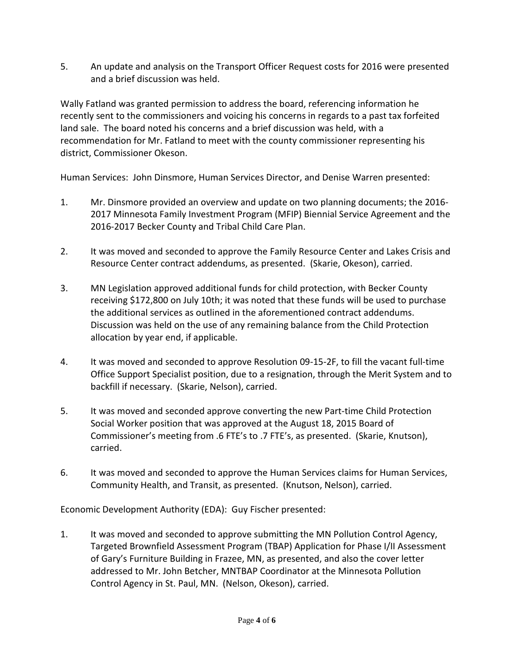5. An update and analysis on the Transport Officer Request costs for 2016 were presented and a brief discussion was held.

Wally Fatland was granted permission to address the board, referencing information he recently sent to the commissioners and voicing his concerns in regards to a past tax forfeited land sale. The board noted his concerns and a brief discussion was held, with a recommendation for Mr. Fatland to meet with the county commissioner representing his district, Commissioner Okeson.

Human Services: John Dinsmore, Human Services Director, and Denise Warren presented:

- 1. Mr. Dinsmore provided an overview and update on two planning documents; the 2016- 2017 Minnesota Family Investment Program (MFIP) Biennial Service Agreement and the 2016-2017 Becker County and Tribal Child Care Plan.
- 2. It was moved and seconded to approve the Family Resource Center and Lakes Crisis and Resource Center contract addendums, as presented. (Skarie, Okeson), carried.
- 3. MN Legislation approved additional funds for child protection, with Becker County receiving \$172,800 on July 10th; it was noted that these funds will be used to purchase the additional services as outlined in the aforementioned contract addendums. Discussion was held on the use of any remaining balance from the Child Protection allocation by year end, if applicable.
- 4. It was moved and seconded to approve Resolution 09-15-2F, to fill the vacant full-time Office Support Specialist position, due to a resignation, through the Merit System and to backfill if necessary. (Skarie, Nelson), carried.
- 5. It was moved and seconded approve converting the new Part-time Child Protection Social Worker position that was approved at the August 18, 2015 Board of Commissioner's meeting from .6 FTE's to .7 FTE's, as presented. (Skarie, Knutson), carried.
- 6. It was moved and seconded to approve the Human Services claims for Human Services, Community Health, and Transit, as presented. (Knutson, Nelson), carried.

Economic Development Authority (EDA): Guy Fischer presented:

1. It was moved and seconded to approve submitting the MN Pollution Control Agency, Targeted Brownfield Assessment Program (TBAP) Application for Phase I/II Assessment of Gary's Furniture Building in Frazee, MN, as presented, and also the cover letter addressed to Mr. John Betcher, MNTBAP Coordinator at the Minnesota Pollution Control Agency in St. Paul, MN. (Nelson, Okeson), carried.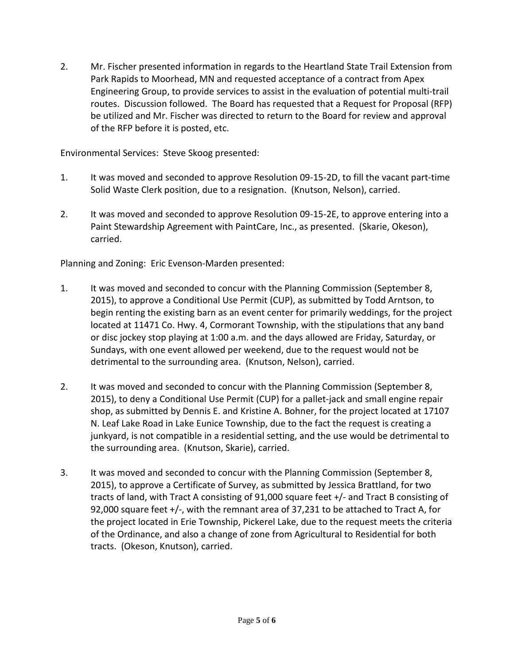2. Mr. Fischer presented information in regards to the Heartland State Trail Extension from Park Rapids to Moorhead, MN and requested acceptance of a contract from Apex Engineering Group, to provide services to assist in the evaluation of potential multi-trail routes. Discussion followed. The Board has requested that a Request for Proposal (RFP) be utilized and Mr. Fischer was directed to return to the Board for review and approval of the RFP before it is posted, etc.

Environmental Services: Steve Skoog presented:

- 1. It was moved and seconded to approve Resolution 09-15-2D, to fill the vacant part-time Solid Waste Clerk position, due to a resignation. (Knutson, Nelson), carried.
- 2. It was moved and seconded to approve Resolution 09-15-2E, to approve entering into a Paint Stewardship Agreement with PaintCare, Inc., as presented. (Skarie, Okeson), carried.

Planning and Zoning: Eric Evenson-Marden presented:

- 1. It was moved and seconded to concur with the Planning Commission (September 8, 2015), to approve a Conditional Use Permit (CUP), as submitted by Todd Arntson, to begin renting the existing barn as an event center for primarily weddings, for the project located at 11471 Co. Hwy. 4, Cormorant Township, with the stipulations that any band or disc jockey stop playing at 1:00 a.m. and the days allowed are Friday, Saturday, or Sundays, with one event allowed per weekend, due to the request would not be detrimental to the surrounding area. (Knutson, Nelson), carried.
- 2. It was moved and seconded to concur with the Planning Commission (September 8, 2015), to deny a Conditional Use Permit (CUP) for a pallet-jack and small engine repair shop, as submitted by Dennis E. and Kristine A. Bohner, for the project located at 17107 N. Leaf Lake Road in Lake Eunice Township, due to the fact the request is creating a junkyard, is not compatible in a residential setting, and the use would be detrimental to the surrounding area. (Knutson, Skarie), carried.
- 3. It was moved and seconded to concur with the Planning Commission (September 8, 2015), to approve a Certificate of Survey, as submitted by Jessica Brattland, for two tracts of land, with Tract A consisting of 91,000 square feet +/- and Tract B consisting of 92,000 square feet +/-, with the remnant area of 37,231 to be attached to Tract A, for the project located in Erie Township, Pickerel Lake, due to the request meets the criteria of the Ordinance, and also a change of zone from Agricultural to Residential for both tracts. (Okeson, Knutson), carried.